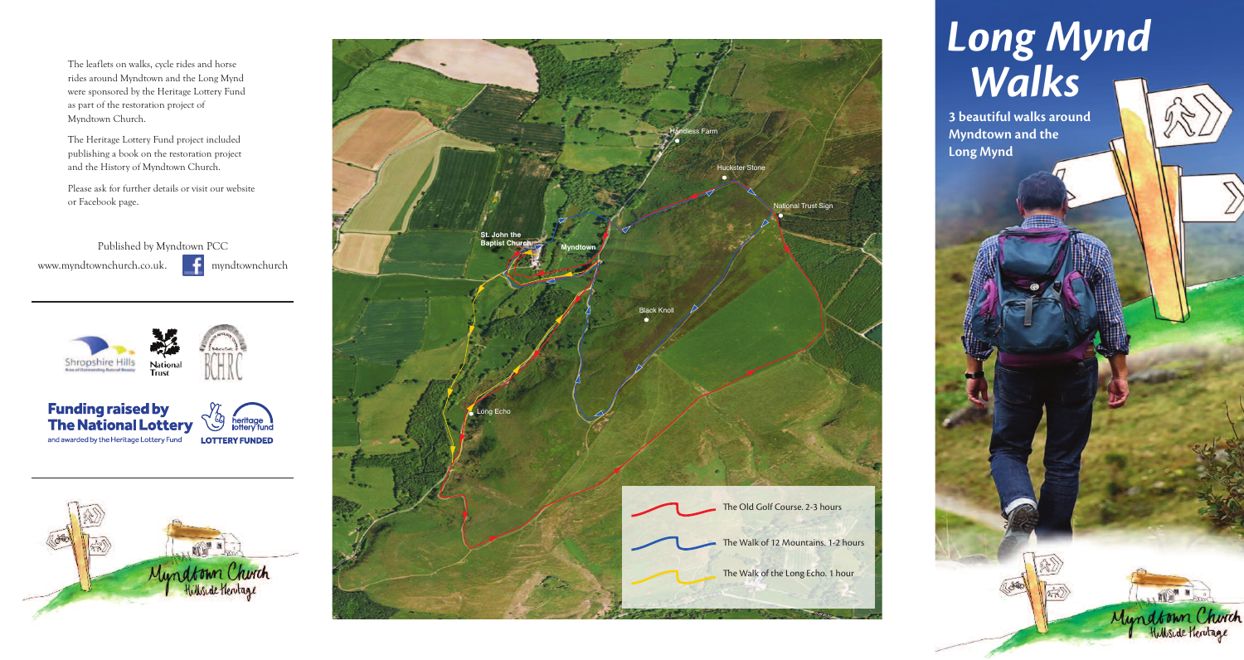The leaflets on walks, cycle rides and horse rides around Myndtown and the Long Mynd were sponsored by the Heritage Lottery Fund as part of the restoration project of Myndtown Church.

The Heritage Lottery Fund project included publishing a book on the restoration project and the History of Myndtown Church.

Please ask for further details or visit our website or Facebook page.

Published by Myndtown PCC www.myndtownchurch.co.uk. **F** myndtownchurch

**Shropshire Hills** National<br>Trust

**Funding raised by** √幼 heritage<br>lottery fund **The National Lottery** and awarded by the Heritage Lottery Fund **LOTTERY FUNDED** 







# *Long Mynd Walks*

 $\approx$ 

**3 beautiful walks around Myndtown and the Long Mynd**

> . mu Myndtown Church